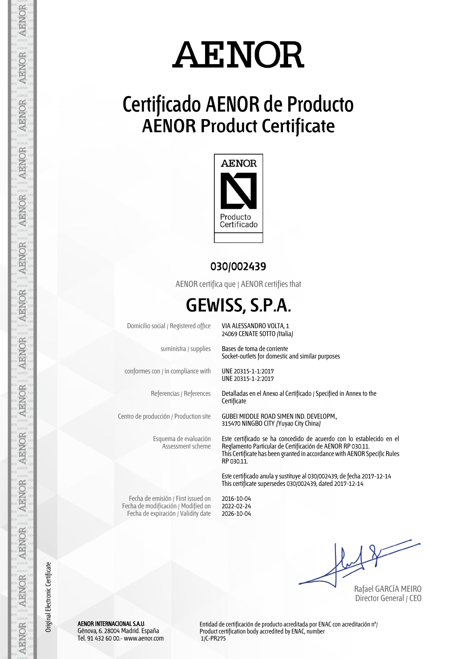# **AENOR**

### **Certificado AENOR de Producto AENOR Product Certificate**



#### **030/002439**

AENOR certifica que | AENOR certifies that

### **GEWISS, S.P.A.**

Domicilio social / Registered office VIA ALESSANDRO VOLTA, 1

conformes con / in compliance with UNE 20315-1-1:2017

Esquema de evaluación Assessment scheme 24069 CENATE SOTTO (Italia)

suministra / supplies Bases de toma de corriente Socket-outlets for domestic and similar purposes

UNE 20315-1-2:2017

Referencias / References Detalladas en el Anexo al Certificado / Specified in Annex to the **Certificate** 

Centro de producción / Production site GUBEI MIDDLE ROAD SIMEN IND. DEVELOPM., 315470 NINGBO CITY (Yuyao City China)

> Este certificado se ha concedido de acuerdo con lo establecido en el Reglamento Particular de Certificación de AENOR RP 030.11. This Certificate has been granted in accordance with AENOR Specific Rules RP 030.11.

Este certificado anula y sustituye al 030/002439, de fecha 2017-12-14 This certificate supersedes 030/002439, dated 2017-12-14

Fecha de emisión / First issued on Fecha de modificación / Modified on Fecha de expiración / Validity date 2016-10-04 2022-02-24 2026-10-04

Rafael GARCÍA MEIRO Director General / CEO

AENOR INTERNACIONAL S.A.U. Génova, 6. 28004 Madrid. España Tel. 91 432 60 00.- www.aenor.com

Entidad de certificación de producto acreditada por ENAC con acreditación nº/ Product certification body accredited by ENAC, number 1/C-PR275

**AENOR** 

**AENOR** 

**AENOR** 

**AENOR** 

**AENOR** 

**AENOR** 

Original Electronic Certificate

Original Electronic Certificate